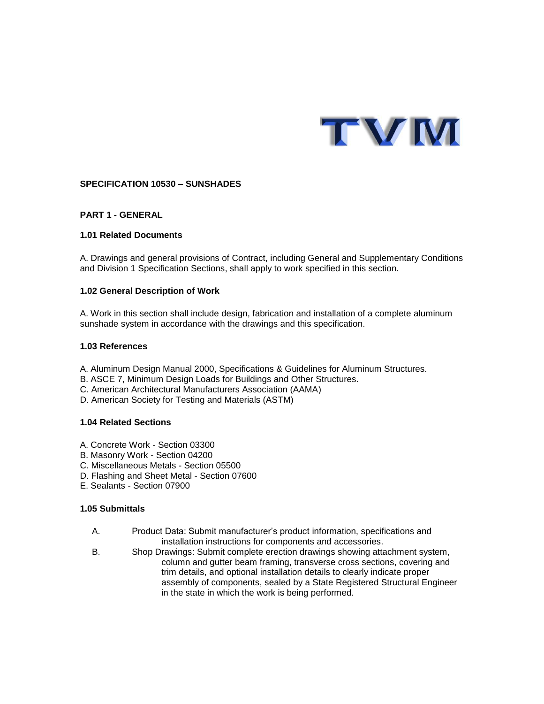

## **SPECIFICATION 10530 – SUNSHADES**

## **PART 1 - GENERAL**

### **1.01 Related Documents**

A. Drawings and general provisions of Contract, including General and Supplementary Conditions and Division 1 Specification Sections, shall apply to work specified in this section.

### **1.02 General Description of Work**

A. Work in this section shall include design, fabrication and installation of a complete aluminum sunshade system in accordance with the drawings and this specification.

### **1.03 References**

- A. Aluminum Design Manual 2000, Specifications & Guidelines for Aluminum Structures.
- B. ASCE 7, Minimum Design Loads for Buildings and Other Structures.
- C. American Architectural Manufacturers Association (AAMA)
- D. American Society for Testing and Materials (ASTM)

### **1.04 Related Sections**

- A. Concrete Work Section 03300
- B. Masonry Work Section 04200
- C. Miscellaneous Metals Section 05500
- D. Flashing and Sheet Metal Section 07600
- E. Sealants Section 07900

### **1.05 Submittals**

- A. Product Data: Submit manufacturer's product information, specifications and installation instructions for components and accessories.
- B. Shop Drawings: Submit complete erection drawings showing attachment system, column and gutter beam framing, transverse cross sections, covering and trim details, and optional installation details to clearly indicate proper assembly of components, sealed by a State Registered Structural Engineer in the state in which the work is being performed.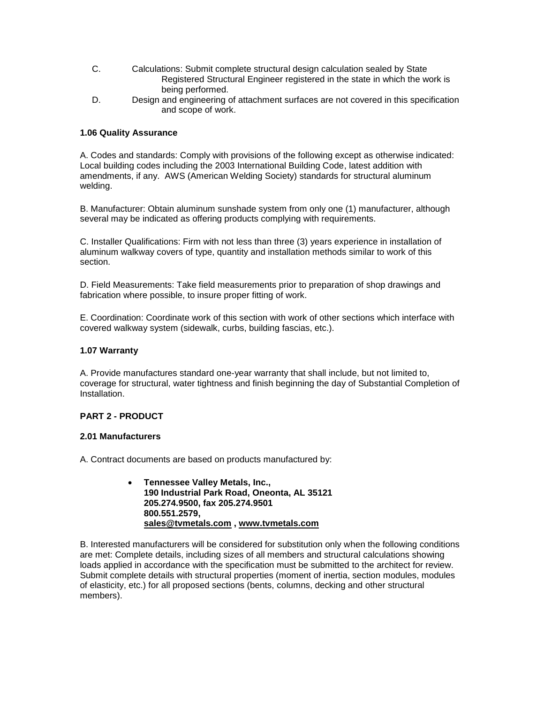- C. Calculations: Submit complete structural design calculation sealed by State Registered Structural Engineer registered in the state in which the work is being performed.
- D. Design and engineering of attachment surfaces are not covered in this specification and scope of work.

## **1.06 Quality Assurance**

A. Codes and standards: Comply with provisions of the following except as otherwise indicated: Local building codes including the 2003 International Building Code, latest addition with amendments, if any. AWS (American Welding Society) standards for structural aluminum welding.

B. Manufacturer: Obtain aluminum sunshade system from only one (1) manufacturer, although several may be indicated as offering products complying with requirements.

C. Installer Qualifications: Firm with not less than three (3) years experience in installation of aluminum walkway covers of type, quantity and installation methods similar to work of this section.

D. Field Measurements: Take field measurements prior to preparation of shop drawings and fabrication where possible, to insure proper fitting of work.

E. Coordination: Coordinate work of this section with work of other sections which interface with covered walkway system (sidewalk, curbs, building fascias, etc.).

## **1.07 Warranty**

A. Provide manufactures standard one-year warranty that shall include, but not limited to, coverage for structural, water tightness and finish beginning the day of Substantial Completion of Installation.

# **PART 2 - PRODUCT**

### **2.01 Manufacturers**

A. Contract documents are based on products manufactured by:

 **Tennessee Valley Metals, Inc., 190 Industrial Park Road, Oneonta, AL 35121 205.274.9500, fax 205.274.9501 800.551.2579, [sales@tvmetals.com](mailto:sales@tvmetals.com) , [www.tvmetals.com](http://www.tvmetals.com/)**

B. Interested manufacturers will be considered for substitution only when the following conditions are met: Complete details, including sizes of all members and structural calculations showing loads applied in accordance with the specification must be submitted to the architect for review. Submit complete details with structural properties (moment of inertia, section modules, modules of elasticity, etc.) for all proposed sections (bents, columns, decking and other structural members).